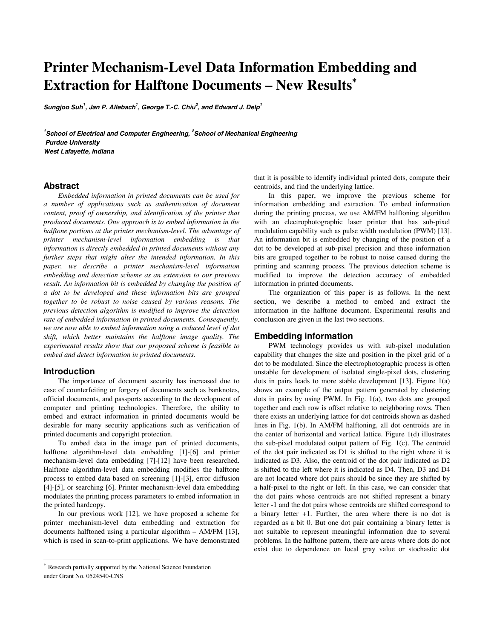# **Printer Mechanism-Level Data Information Embedding and Extraction for Halftone Documents – New Results**<sup>∗</sup>

**Sungjoo Suh<sup>1</sup> , Jan P. Allebach<sup>1</sup> , George T.-C. Chiu<sup>2</sup> , and Edward J. Delp<sup>1</sup>**

<sup>1</sup> School of Electrical and Computer Engineering, <sup>2</sup> School of Mechanical Engineering  **Purdue University West Lafayette, Indiana** 

# **Abstract**

*Embedded information in printed documents can be used for a number of applications such as authentication of document content, proof of ownership, and identification of the printer that produced documents. One approach is to embed information in the halftone portions at the printer mechanism-level. The advantage of printer mechanism-level information embedding is that information is directly embedded in printed documents without any further steps that might alter the intended information. In this paper, we describe a printer mechanism-level information embedding and detection scheme as an extension to our previous result. An information bit is embedded by changing the position of a dot to be developed and these information bits are grouped together to be robust to noise caused by various reasons. The previous detection algorithm is modified to improve the detection rate of embedded information in printed documents. Consequently, we are now able to embed information using a reduced level of dot shift, which better maintains the halftone image quality. The experimental results show that our proposed scheme is feasible to embed and detect information in printed documents.* 

#### **Introduction**

 $\overline{a}$ 

The importance of document security has increased due to ease of counterfeiting or forgery of documents such as banknotes, official documents, and passports according to the development of computer and printing technologies. Therefore, the ability to embed and extract information in printed documents would be desirable for many security applications such as verification of printed documents and copyright protection.

To embed data in the image part of printed documents, halftone algorithm-level data embedding [1]-[6] and printer mechanism-level data embedding [7]-[12] have been researched. Halftone algorithm-level data embedding modifies the halftone process to embed data based on screening [1]-[3], error diffusion [4]-[5], or searching [6]. Printer mechanism-level data embedding modulates the printing process parameters to embed information in the printed hardcopy.

In our previous work [12], we have proposed a scheme for printer mechanism-level data embedding and extraction for documents halftoned using a particular algorithm  $-$  AM/FM [13], which is used in scan-to-print applications. We have demonstrated that it is possible to identify individual printed dots, compute their centroids, and find the underlying lattice.

In this paper, we improve the previous scheme for information embedding and extraction. To embed information during the printing process, we use AM/FM halftoning algorithm with an electrophotographic laser printer that has sub-pixel modulation capability such as pulse width modulation (PWM) [13]. An information bit is embedded by changing of the position of a dot to be developed at sub-pixel precision and these information bits are grouped together to be robust to noise caused during the printing and scanning process. The previous detection scheme is modified to improve the detection accuracy of embedded information in printed documents.

The organization of this paper is as follows. In the next section, we describe a method to embed and extract the information in the halftone document. Experimental results and conclusion are given in the last two sections.

# **Embedding information**

PWM technology provides us with sub-pixel modulation capability that changes the size and position in the pixel grid of a dot to be modulated. Since the electrophotographic process is often unstable for development of isolated single-pixel dots, clustering dots in pairs leads to more stable development [13]. Figure 1(a) shows an example of the output pattern generated by clustering dots in pairs by using PWM. In Fig. 1(a), two dots are grouped together and each row is offset relative to neighboring rows. Then there exists an underlying lattice for dot centroids shown as dashed lines in Fig. 1(b). In AM/FM halftoning, all dot centroids are in the center of horizontal and vertical lattice. Figure 1(d) illustrates the sub-pixel modulated output pattern of Fig. 1(c). The centroid of the dot pair indicated as D1 is shifted to the right where it is indicated as D3. Also, the centroid of the dot pair indicated as D2 is shifted to the left where it is indicated as D4. Then, D3 and D4 are not located where dot pairs should be since they are shifted by a half-pixel to the right or left. In this case, we can consider that the dot pairs whose centroids are not shifted represent a binary letter -1 and the dot pairs whose centroids are shifted correspond to a binary letter +1. Further, the area where there is no dot is regarded as a bit 0. But one dot pair containing a binary letter is not suitable to represent meaningful information due to several problems. In the halftone pattern, there are areas where dots do not exist due to dependence on local gray value or stochastic dot

Research partially supported by the National Science Foundation under Grant No. 0524540-CNS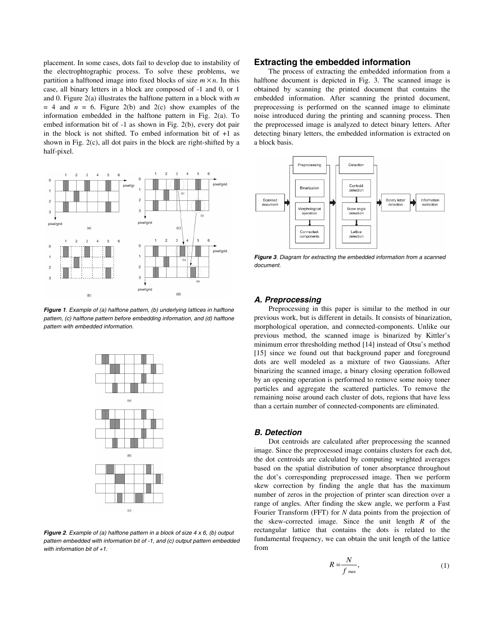placement. In some cases, dots fail to develop due to instability of the electrophtographic process. To solve these problems, we partition a halftoned image into fixed blocks of size  $m \times n$ . In this case, all binary letters in a block are composed of -1 and 0, or 1 and 0. Figure 2(a) illustrates the halftone pattern in a block with *m*  $= 4$  and  $n = 6$ . Figure 2(b) and 2(c) show examples of the information embedded in the halftone pattern in Fig. 2(a). To embed information bit of -1 as shown in Fig. 2(b), every dot pair in the block is not shifted. To embed information bit of  $+1$  as shown in Fig. 2(c), all dot pairs in the block are right-shifted by a half-pixel.



**Figure 1**. Example of (a) halftone pattern, (b) underlying lattices in halftone pattern, (c) halftone pattern before embedding information, and (d) halftone pattern with embedded information.



**Figure 2**. Example of (a) halftone pattern in a block of size 4 x 6, (b) output pattern embedded with information bit of -1, and (c) output pattern embedded with information bit of  $+1$ .

# **Extracting the embedded information**

The process of extracting the embedded information from a halftone document is depicted in Fig. 3. The scanned image is obtained by scanning the printed document that contains the embedded information. After scanning the printed document, preprocessing is performed on the scanned image to eliminate noise introduced during the printing and scanning process. Then the preprocessed image is analyzed to detect binary letters. After detecting binary letters, the embedded information is extracted on a block basis.



**Figure 3**. Diagram for extracting the embedded information from a scanned document.

#### **A. Preprocessing**

Preprocessing in this paper is similar to the method in our previous work, but is different in details. It consists of binarization, morphological operation, and connected-components. Unlike our previous method, the scanned image is binarized by Kittler's minimum error thresholding method [14] instead of Otsu's method [15] since we found out that background paper and foreground dots are well modeled as a mixture of two Gaussians. After binarizing the scanned image, a binary closing operation followed by an opening operation is performed to remove some noisy toner particles and aggregate the scattered particles. To remove the remaining noise around each cluster of dots, regions that have less than a certain number of connected-components are eliminated.

#### **B. Detection**

Dot centroids are calculated after preprocessing the scanned image. Since the preprocessed image contains clusters for each dot, the dot centroids are calculated by computing weighted averages based on the spatial distribution of toner absorptance throughout the dot's corresponding preprocessed image. Then we perform skew correction by finding the angle that has the maximum number of zeros in the projection of printer scan direction over a range of angles. After finding the skew angle, we perform a Fast Fourier Transform (FFT) for *N* data points from the projection of the skew-corrected image. Since the unit length *R* of the rectangular lattice that contains the dots is related to the fundamental frequency, we can obtain the unit length of the lattice from

$$
R = \frac{N}{f_{\text{max}}},\tag{1}
$$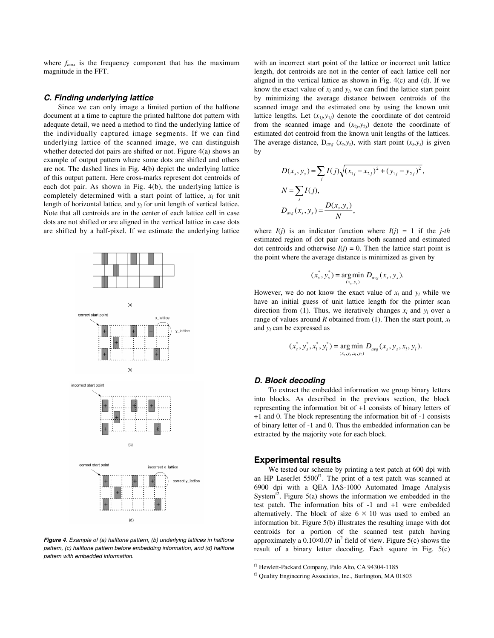where  $f_{max}$  is the frequency component that has the maximum magnitude in the FFT.

#### **C. Finding underlying lattice**

Since we can only image a limited portion of the halftone document at a time to capture the printed halftone dot pattern with adequate detail, we need a method to find the underlying lattice of the individually captured image segments. If we can find underlying lattice of the scanned image, we can distinguish whether detected dot pairs are shifted or not. Figure 4(a) shows an example of output pattern where some dots are shifted and others are not. The dashed lines in Fig. 4(b) depict the underlying lattice of this output pattern. Here cross-marks represent dot centroids of each dot pair. As shown in Fig. 4(b), the underlying lattice is completely determined with a start point of lattice,  $x_l$  for unit length of horizontal lattice, and  $y_l$  for unit length of vertical lattice. Note that all centroids are in the center of each lattice cell in case dots are not shifted or are aligned in the vertical lattice in case dots are shifted by a half-pixel. If we estimate the underlying lattice



**Figure 4**. Example of (a) halftone pattern, (b) underlying lattices in halftone pattern, (c) halftone pattern before embedding information, and (d) halftone pattern with embedded information.

with an incorrect start point of the lattice or incorrect unit lattice length, dot centroids are not in the center of each lattice cell nor aligned in the vertical lattice as shown in Fig. 4(c) and (d). If we know the exact value of  $x_l$  and  $y_l$ , we can find the lattice start point by minimizing the average distance between centroids of the scanned image and the estimated one by using the known unit lattice lengths. Let  $(x_{1i}, y_{1i})$  denote the coordinate of dot centroid from the scanned image and  $(x_{2j}, y_{2j})$  denote the coordinate of estimated dot centroid from the known unit lengths of the lattices. The average distance,  $D_{avg}$  ( $x_s$ , $y_s$ ), with start point ( $x_s$ , $y_s$ ) is given by

$$
D(x_s, y_s) = \sum_j I(j) \sqrt{(x_{1j} - x_{2j})^2 + (y_{1j} - y_{2j})^2},
$$
  
\n
$$
N = \sum_j I(j),
$$
  
\n
$$
D_{avg}(x_s, y_s) = \frac{D(x_s, y_s)}{N},
$$

where  $I(j)$  is an indicator function where  $I(j) = 1$  if the *j*-th estimated region of dot pair contains both scanned and estimated dot centroids and otherwise  $I(j) = 0$ . Then the lattice start point is the point where the average distance is minimized as given by

$$
(x_s^*, y_s^*) = \underset{(x_s, y_s)}{\arg \min} D_{avg}(x_s, y_s).
$$

However, we do not know the exact value of  $x_l$  and  $y_l$  while we have an initial guess of unit lattice length for the printer scan direction from (1). Thus, we iteratively changes  $x_l$  and  $y_l$  over a range of values around *R* obtained from (1). Then the start point,  $x_l$ and *yl* can be expressed as

$$
(x_s^*, y_s^*, x_t^*, y_t^*) = \underset{(x_s, y_s, x_t, y_t)}{\arg \min} D_{avg}(x_s, y_s, x_t, y_t).
$$

#### **D. Block decoding**

To extract the embedded information we group binary letters into blocks. As described in the previous section, the block representing the information bit of +1 consists of binary letters of +1 and 0. The block representing the information bit of -1 consists of binary letter of -1 and 0. Thus the embedded information can be extracted by the majority vote for each block.

## **Experimental results**

-

We tested our scheme by printing a test patch at 600 dpi with an HP LaserJet  $5500<sup>f1</sup>$ . The print of a test patch was scanned at 6900 dpi with a QEA IAS-1000 Automated Image Analysis System $\overline{r^2}$ . Figure 5(a) shows the information we embedded in the test patch. The information bits of -1 and +1 were embedded alternatively. The block of size  $6 \times 10$  was used to embed an information bit. Figure 5(b) illustrates the resulting image with dot centroids for a portion of the scanned test patch having approximately a  $0.10 \times 0.07$  in<sup>2</sup> field of view. Figure 5(c) shows the result of a binary letter decoding. Each square in Fig. 5(c)

f1 Hewlett-Packard Company, Palo Alto, CA 94304-1185

f2 Quality Engineering Associates, Inc., Burlington, MA 01803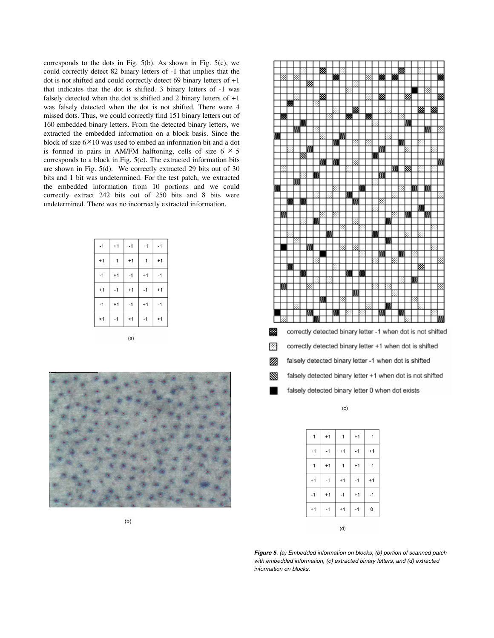corresponds to the dots in Fig. 5(b). As shown in Fig. 5(c), we could correctly detect 82 binary letters of -1 that implies that the dot is not shifted and could correctly detect 69 binary letters of +1 that indicates that the dot is shifted. 3 binary letters of -1 was falsely detected when the dot is shifted and 2 binary letters of  $+1$ was falsely detected when the dot is not shifted. There were 4 missed dots. Thus, we could correctly find 151 binary letters out of 160 embedded binary letters. From the detected binary letters, we extracted the embedded information on a block basis. Since the block of size  $6 \times 10$  was used to embed an information bit and a dot is formed in pairs in AM/FM halftoning, cells of size  $6 \times 5$ corresponds to a block in Fig. 5(c). The extracted information bits are shown in Fig. 5(d). We correctly extracted 29 bits out of 30 bits and 1 bit was undetermined. For the test patch, we extracted the embedded information from 10 portions and we could correctly extract 242 bits out of 250 bits and 8 bits were undetermined. There was no incorrectly extracted information.

| $-1$ | $+1$ | $-1$ | $+1$ | $-1$ |
|------|------|------|------|------|
| $+1$ | $-1$ | $+1$ | $-1$ | $+1$ |
| $-1$ | $+1$ | $-1$ | $+1$ | $-1$ |
| $+1$ | $-1$ | $+1$ | $-1$ | $+1$ |
| $-1$ | $+1$ | $-1$ | $+1$ | $-1$ |
| $+1$ | $-1$ | $+1$ | $-1$ | $+1$ |
|      |      |      |      |      |





 $(c)$ 

| $-1$ | $+1$ | $-1$ | $+1$ | $-1$ |
|------|------|------|------|------|
| $+1$ | $-1$ | $+1$ | $-1$ | $+1$ |
| $-1$ | $+1$ | $-1$ | $+1$ | $-1$ |
| $+1$ | $-1$ | $+1$ | $-1$ | $+1$ |
| $-1$ | $+1$ | $-1$ | $+1$ | $-1$ |
| $+1$ | $-1$ | $+1$ | $-1$ | 0    |
|      |      | (d)  |      |      |

**Figure 5**. (a) Embedded information on blocks, (b) portion of scanned patch with embedded information, (c) extracted binary letters, and (d) extracted information on blocks.